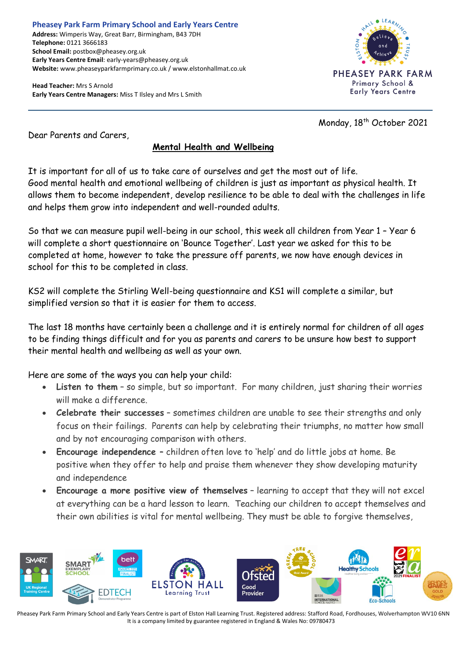**Pheasey Park Farm Primary School and Early Years Centre Address:** Wimperis Way, Great Barr, Birmingham, B43 7DH **Telephone:** 0121 3666183 **School Email:** postbox@pheasey.org.uk **Early Years Centre Email**: early-years@pheasey.org.uk **Website:** www.pheaseyparkfarmprimary.co.uk / www.elstonhallmat.co.uk

**Head Teacher:** Mrs S Arnold **Early Years Centre Managers:** Miss T Ilsley and Mrs L Smith



Monday, 18<sup>th</sup> October 2021

Dear Parents and Carers,

## **Mental Health and Wellbeing**

It is important for all of us to take care of ourselves and get the most out of life. Good mental health and emotional wellbeing of children is just as important as physical health. It allows them to become independent, develop resilience to be able to deal with the challenges in life and helps them grow into independent and well-rounded adults.

So that we can measure pupil well-being in our school, this week all children from Year 1 – Year 6 will complete a short questionnaire on 'Bounce Together'. Last year we asked for this to be completed at home, however to take the pressure off parents, we now have enough devices in school for this to be completed in class.

KS2 will complete the Stirling Well-being questionnaire and KS1 will complete a similar, but simplified version so that it is easier for them to access.

The last 18 months have certainly been a challenge and it is entirely normal for children of all ages to be finding things difficult and for you as parents and carers to be unsure how best to support their mental health and wellbeing as well as your own.

Here are some of the ways you can help your child:

- **Listen to them** so simple, but so important. For many children, just sharing their worries will make a difference.
- **Celebrate their successes** sometimes children are unable to see their strengths and only focus on their failings. Parents can help by celebrating their triumphs, no matter how small and by not encouraging comparison with others.
- **Encourage independence**  children often love to 'help' and do little jobs at home. Be positive when they offer to help and praise them whenever they show developing maturity and independence
- **Encourage a more positive view of themselves** learning to accept that they will not excel at everything can be a hard lesson to learn. Teaching our children to accept themselves and their own abilities is vital for mental wellbeing. They must be able to forgive themselves,



Pheasey Park Farm Primary School and Early Years Centre is part of Elston Hall Learning Trust. Registered address: Stafford Road, Fordhouses, Wolverhampton WV10 6NN It is a company limited by guarantee registered in England & Wales No: 09780473